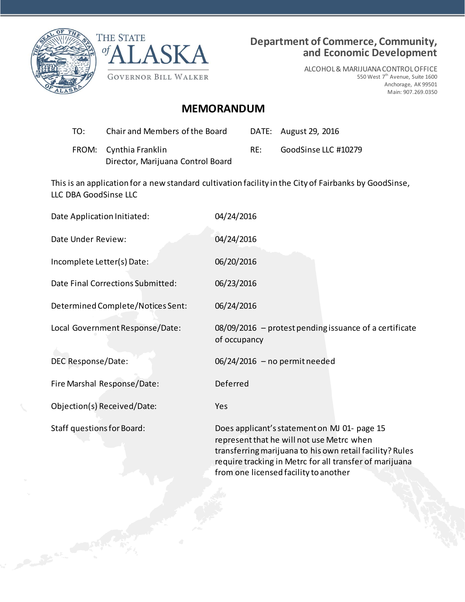



## **Department of Commerce, Community, and Economic Development**

ALCOHOL & MARIJUANA CONTROL OFFICE 550 West 7<sup>th</sup> Avenue, Suite 1600 Anchorage, AK 99501 Main: 907.269.0350

## **MEMORANDUM**

| T∩∶ | Chair and Members of the Board                              |     | DATE: August 29, 2016 |
|-----|-------------------------------------------------------------|-----|-----------------------|
|     | FROM: Cynthia Franklin<br>Director, Marijuana Control Board | RF: | GoodSinse LLC #10279  |

This is an application for a new standard cultivation facility in the City of Fairbanks by GoodSinse, LLC DBA GoodSinse LLC

| Date Application Initiated:       | 04/24/2016                                                                                                                                                                                                       |  |  |
|-----------------------------------|------------------------------------------------------------------------------------------------------------------------------------------------------------------------------------------------------------------|--|--|
| Date Under Review:                | 04/24/2016                                                                                                                                                                                                       |  |  |
| Incomplete Letter(s) Date:        | 06/20/2016                                                                                                                                                                                                       |  |  |
| Date Final Corrections Submitted: | 06/23/2016                                                                                                                                                                                                       |  |  |
| Determined Complete/Notices Sent: | 06/24/2016                                                                                                                                                                                                       |  |  |
| Local Government Response/Date:   | 08/09/2016 - protest pending issuance of a certificate<br>of occupancy                                                                                                                                           |  |  |
| DEC Response/Date:                | $06/24/2016$ - no permit needed                                                                                                                                                                                  |  |  |
| Fire Marshal Response/Date:       | Deferred                                                                                                                                                                                                         |  |  |
| Objection(s) Received/Date:       | Yes                                                                                                                                                                                                              |  |  |
| <b>Staff questions for Board:</b> | Does applicant's statement on MJ 01- page 15<br>represent that he will not use Metrc when<br>transferring marijuana to his own retail facility? Rules<br>require tracking in Metrc for all transfer of marijuana |  |  |

from one licensed facility to another